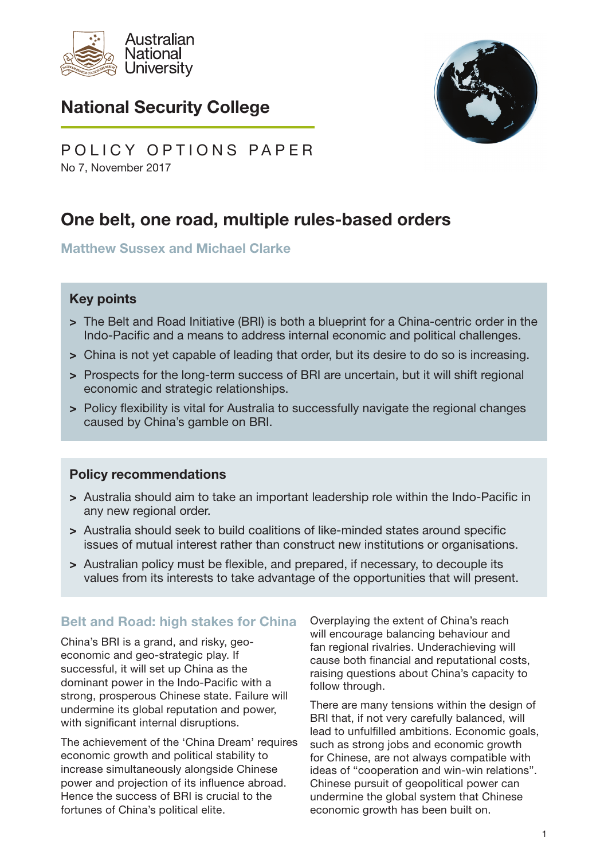

# National Security College



No 7, November 2017 POLICY OPTIONS PAPER

# One belt, one road, multiple rules-based orders

Matthew Sussex and Michael Clarke

#### Key points

- > The Belt and Road Initiative (BRI) is both a blueprint for a China-centric order in the Indo-Pacific and a means to address internal economic and political challenges.
- > China is not yet capable of leading that order, but its desire to do so is increasing.
- > Prospects for the long-term success of BRI are uncertain, but it will shift regional economic and strategic relationships.
- > Policy flexibility is vital for Australia to successfully navigate the regional changes caused by China's gamble on BRI.

#### Policy recommendations

- > Australia should aim to take an important leadership role within the Indo-Pacific in any new regional order.
- > Australia should seek to build coalitions of like-minded states around specific issues of mutual interest rather than construct new institutions or organisations.
- > Australian policy must be flexible, and prepared, if necessary, to decouple its values from its interests to take advantage of the opportunities that will present.

## Belt and Road: high stakes for China

China's BRI is a grand, and risky, geoeconomic and geo-strategic play. If successful, it will set up China as the dominant power in the Indo-Pacific with a strong, prosperous Chinese state. Failure will undermine its global reputation and power, with significant internal disruptions.

The achievement of the 'China Dream' requires economic growth and political stability to increase simultaneously alongside Chinese power and projection of its influence abroad. Hence the success of BRI is crucial to the fortunes of China's political elite.

Overplaying the extent of China's reach will encourage balancing behaviour and fan regional rivalries. Underachieving will cause both financial and reputational costs, raising questions about China's capacity to follow through.

There are many tensions within the design of BRI that, if not very carefully balanced, will lead to unfulfilled ambitions. Economic goals, such as strong jobs and economic growth for Chinese, are not always compatible with ideas of "cooperation and win-win relations". Chinese pursuit of geopolitical power can undermine the global system that Chinese economic growth has been built on.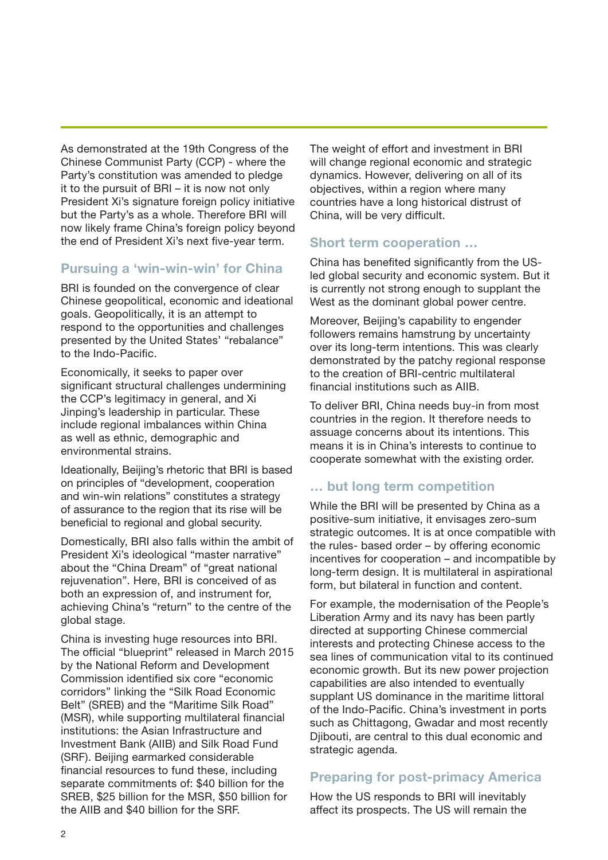As demonstrated at the 19th Congress of the Chinese Communist Party (CCP) - where the Party's constitution was amended to pledge it to the pursuit of BRI – it is now not only President Xi's signature foreign policy initiative but the Party's as a whole. Therefore BRI will now likely frame China's foreign policy beyond the end of President Xi's next five-year term.

#### Pursuing a 'win-win-win' for China

BRI is founded on the convergence of clear Chinese geopolitical, economic and ideational goals. Geopolitically, it is an attempt to respond to the opportunities and challenges presented by the United States' "rebalance" to the Indo-Pacific.

Economically, it seeks to paper over significant structural challenges undermining the CCP's legitimacy in general, and Xi Jinping's leadership in particular. These include regional imbalances within China as well as ethnic, demographic and environmental strains.

Ideationally, Beijing's rhetoric that BRI is based on principles of "development, cooperation and win-win relations" constitutes a strategy of assurance to the region that its rise will be beneficial to regional and global security.

Domestically, BRI also falls within the ambit of President Xi's ideological "master narrative" about the "China Dream" of "great national rejuvenation". Here, BRI is conceived of as both an expression of, and instrument for, achieving China's "return" to the centre of the global stage.

China is investing huge resources into BRI. The official "blueprint" released in March 2015 by the National Reform and Development Commission identified six core "economic corridors" linking the "Silk Road Economic Belt" (SREB) and the "Maritime Silk Road" (MSR), while supporting multilateral financial institutions: the Asian Infrastructure and Investment Bank (AIIB) and Silk Road Fund (SRF). Beijing earmarked considerable financial resources to fund these, including separate commitments of: \$40 billion for the SREB, \$25 billion for the MSR, \$50 billion for the AIIB and \$40 billion for the SRF.

The weight of effort and investment in BRI will change regional economic and strategic dynamics. However, delivering on all of its objectives, within a region where many countries have a long historical distrust of China, will be very difficult.

#### Short term cooperation …

China has benefited significantly from the USled global security and economic system. But it is currently not strong enough to supplant the West as the dominant global power centre.

Moreover, Beijing's capability to engender followers remains hamstrung by uncertainty over its long-term intentions. This was clearly demonstrated by the patchy regional response to the creation of BRI-centric multilateral financial institutions such as AIIB.

To deliver BRI, China needs buy-in from most countries in the region. It therefore needs to assuage concerns about its intentions. This means it is in China's interests to continue to cooperate somewhat with the existing order.

## … but long term competition

While the BRI will be presented by China as a positive-sum initiative, it envisages zero-sum strategic outcomes. It is at once compatible with the rules- based order – by offering economic incentives for cooperation – and incompatible by long-term design. It is multilateral in aspirational form, but bilateral in function and content.

For example, the modernisation of the People's Liberation Army and its navy has been partly directed at supporting Chinese commercial interests and protecting Chinese access to the sea lines of communication vital to its continued economic growth. But its new power projection capabilities are also intended to eventually supplant US dominance in the maritime littoral of the Indo-Pacific. China's investment in ports such as Chittagong, Gwadar and most recently Djibouti, are central to this dual economic and strategic agenda.

## Preparing for post-primacy America

How the US responds to BRI will inevitably affect its prospects. The US will remain the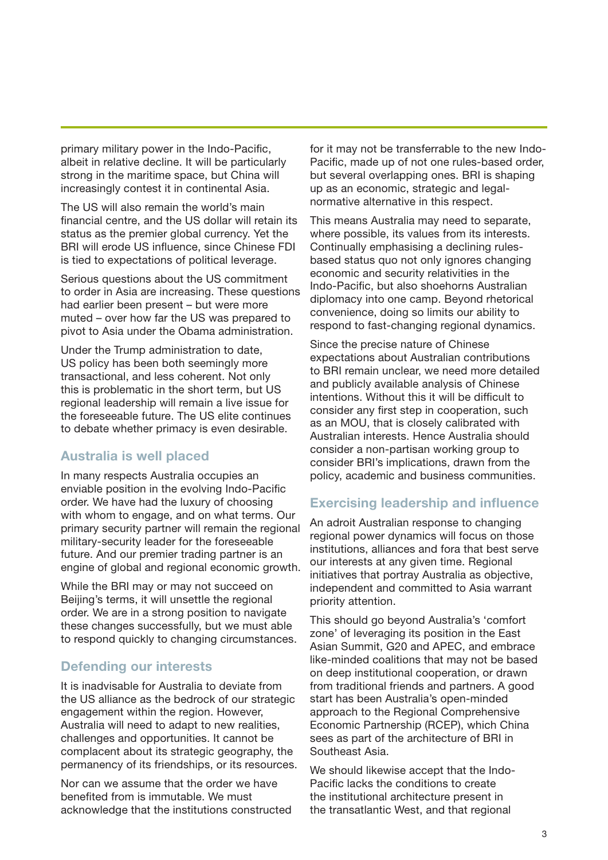primary military power in the Indo-Pacific, albeit in relative decline. It will be particularly strong in the maritime space, but China will increasingly contest it in continental Asia.

The US will also remain the world's main financial centre, and the US dollar will retain its status as the premier global currency. Yet the BRI will erode US influence, since Chinese FDI is tied to expectations of political leverage.

Serious questions about the US commitment to order in Asia are increasing. These questions had earlier been present – but were more muted – over how far the US was prepared to pivot to Asia under the Obama administration.

Under the Trump administration to date, US policy has been both seemingly more transactional, and less coherent. Not only this is problematic in the short term, but US regional leadership will remain a live issue for the foreseeable future. The US elite continues to debate whether primacy is even desirable.

## Australia is well placed

In many respects Australia occupies an enviable position in the evolving Indo-Pacific order. We have had the luxury of choosing with whom to engage, and on what terms. Our primary security partner will remain the regional military-security leader for the foreseeable future. And our premier trading partner is an engine of global and regional economic growth.

While the BRI may or may not succeed on Beijing's terms, it will unsettle the regional order. We are in a strong position to navigate these changes successfully, but we must able to respond quickly to changing circumstances.

## Defending our interests

It is inadvisable for Australia to deviate from the US alliance as the bedrock of our strategic engagement within the region. However, Australia will need to adapt to new realities, challenges and opportunities. It cannot be complacent about its strategic geography, the permanency of its friendships, or its resources.

Nor can we assume that the order we have benefited from is immutable. We must acknowledge that the institutions constructed for it may not be transferrable to the new Indo-Pacific, made up of not one rules-based order, but several overlapping ones. BRI is shaping up as an economic, strategic and legalnormative alternative in this respect.

This means Australia may need to separate, where possible, its values from its interests. Continually emphasising a declining rulesbased status quo not only ignores changing economic and security relativities in the Indo-Pacific, but also shoehorns Australian diplomacy into one camp. Beyond rhetorical convenience, doing so limits our ability to respond to fast-changing regional dynamics.

Since the precise nature of Chinese expectations about Australian contributions to BRI remain unclear, we need more detailed and publicly available analysis of Chinese intentions. Without this it will be difficult to consider any first step in cooperation, such as an MOU, that is closely calibrated with Australian interests. Hence Australia should consider a non-partisan working group to consider BRI's implications, drawn from the policy, academic and business communities.

## Exercising leadership and influence

An adroit Australian response to changing regional power dynamics will focus on those institutions, alliances and fora that best serve our interests at any given time. Regional initiatives that portray Australia as objective, independent and committed to Asia warrant priority attention.

This should go beyond Australia's 'comfort zone' of leveraging its position in the East Asian Summit, G20 and APEC, and embrace like-minded coalitions that may not be based on deep institutional cooperation, or drawn from traditional friends and partners. A good start has been Australia's open-minded approach to the Regional Comprehensive Economic Partnership (RCEP), which China sees as part of the architecture of BRI in Southeast Asia.

We should likewise accept that the Indo-Pacific lacks the conditions to create the institutional architecture present in the transatlantic West, and that regional